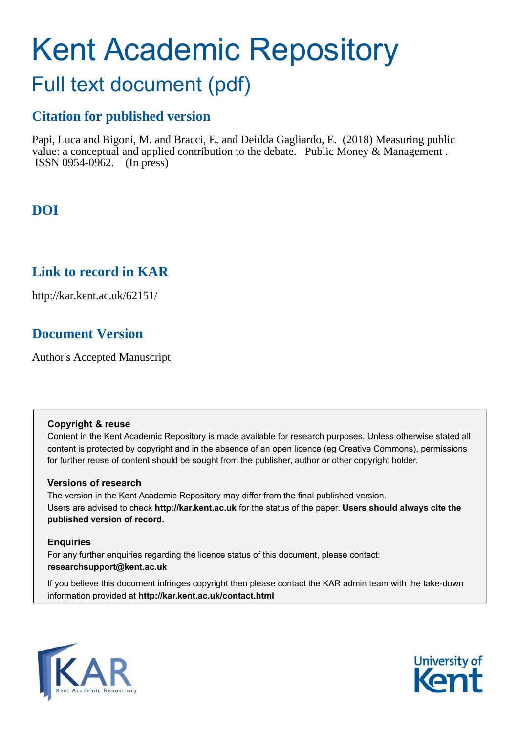# Kent Academic Repository

## Full text document (pdf)

## **Citation for published version**

Papi, Luca and Bigoni, M. and Bracci, E. and Deidda Gagliardo, E. (2018) Measuring public value: a conceptual and applied contribution to the debate. Public Money & Management . ISSN 0954-0962. (In press)

## **DOI**

### **Link to record in KAR**

http://kar.kent.ac.uk/62151/

## **Document Version**

Author's Accepted Manuscript

#### **Copyright & reuse**

Content in the Kent Academic Repository is made available for research purposes. Unless otherwise stated all content is protected by copyright and in the absence of an open licence (eg Creative Commons), permissions for further reuse of content should be sought from the publisher, author or other copyright holder.

#### **Versions of research**

The version in the Kent Academic Repository may differ from the final published version. Users are advised to check **http://kar.kent.ac.uk** for the status of the paper. **Users should always cite the published version of record.**

#### **Enquiries**

For any further enquiries regarding the licence status of this document, please contact: **researchsupport@kent.ac.uk**

If you believe this document infringes copyright then please contact the KAR admin team with the take-down information provided at **http://kar.kent.ac.uk/contact.html**



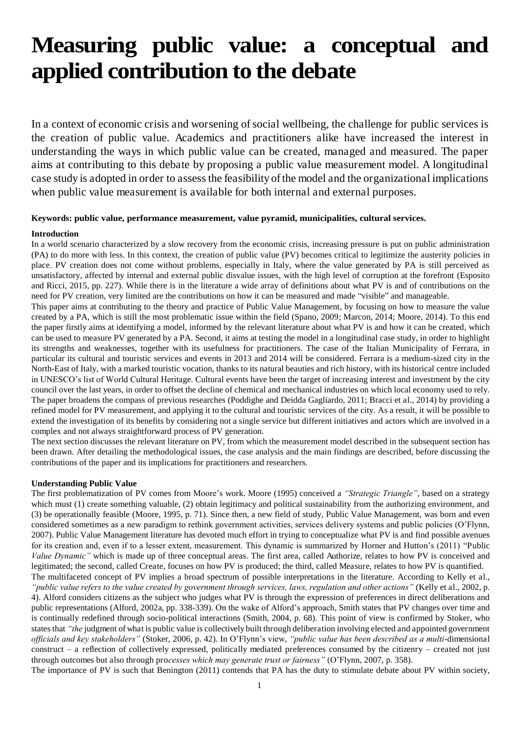# **Measuring public value: a conceptual and applied contribution to the debate**

In a context of economic crisis and worsening of social wellbeing, the challenge for public services is the creation of public value. Academics and practitioners alike have increased the interest in understanding the ways in which public value can be created, managed and measured. The paper aims at contributing to this debate by proposing a public value measurement model. A longitudinal case study is adopted in order to assess the feasibility of the model and the organizational implications when public value measurement is available for both internal and external purposes.

#### **Keywords: public value, performance measurement, value pyramid, municipalities, cultural services.**

#### **Introduction**

In a world scenario characterized by a slow recovery from the economic crisis, increasing pressure is put on public administration (PA) to do more with less. In this context, the creation of public value (PV) becomes critical to legitimize the austerity policies in place. PV creation does not come without problems, especially in Italy, where the value generated by PA is still perceived as unsatisfactory, affected by internal and external public disvalue issues, with the high level of corruption at the forefront (Esposito and Ricci, 2015, pp. 227). While there is in the literature a wide array of definitions about what PV is and of contributions on the need for PV creation, very limited are the contributions on how it can be measured and made "visible" and manageable.

This paper aims at contributing to the theory and practice of Public Value Management, by focusing on how to measure the value created by a PA, which is still the most problematic issue within the field (Spano, 2009; Marcon, 2014; Moore, 2014). To this end the paper firstly aims at identifying a model, informed by the relevant literature about what PV is and how it can be created, which can be used to measure PV generated by a PA. Second, it aims at testing the model in a longitudinal case study, in order to highlight its strengths and weaknesses, together with its usefulness for practitioners. The case of the Italian Municipality of Ferrara, in particular its cultural and touristic services and events in 2013 and 2014 will be considered. Ferrara is a medium-sized city in the North-East of Italy, with a marked touristic vocation, thanks to its natural beauties and rich history, with its historical centre included in UNESCO's list of World Cultural Heritage. Cultural events have been the target of increasing interest and investment by the city council over the last years, in order to offset the decline of chemical and mechanical industries on which local economy used to rely. The paper broadens the compass of previous researches (Poddighe and Deidda Gagliardo, 2011; Bracci et al., 2014) by providing a refined model for PV measurement, and applying it to the cultural and touristic services of the city. As a result, it will be possible to extend the investigation of its benefits by considering not a single service but different initiatives and actors which are involved in a complex and not always straightforward process of PV generation.

The next section discusses the relevant literature on PV, from which the measurement model described in the subsequent section has been drawn. After detailing the methodological issues, the case analysis and the main findings are described, before discussing the contributions of the paper and its implications for practitioners and researchers.

#### **Understanding Public Value**

The first problematization of PV comes from Moore's work. Moore (1995) conceived a *"Strategic Triangle"*, based on a strategy which must (1) create something valuable, (2) obtain legitimacy and political sustainability from the authorizing environment, and (3) be operationally feasible (Moore, 1995, p. 71). Since then, a new field of study, Public Value Management, was born and even considered sometimes as a new paradigm to rethink government activities, services delivery systems and public policies (O'Flynn, 2007). Public Value Management literature has devoted much effort in trying to conceptualize what PV is and find possible avenues for its creation and, even if to a lesser extent, measurement. This dynamic is summarized by Horner and Hutton's (2011) "Public *Value Dynamic"* which is made up of three conceptual areas. The first area, called Authorize, relates to how PV is conceived and legitimated; the second, called Create, focuses on how PV is produced; the third, called Measure, relates to how PV is quantified. The multifaceted concept of PV implies a broad spectrum of possible interpretations in the literature. According to Kelly et al.,

*"public value refers to the value created by government through services, laws, regulation and other actions"* (Kelly et al., 2002, p. 4). Alford considers citizens as the subject who judges what PV is through the expression of preferences in direct deliberations and public representations (Alford, 2002a, pp. 338-339). On the wake of Alford's approach, Smith states that PV changes over time and is continually redefined through socio-political interactions (Smith, 2004, p. 68). This point of view is confirmed by Stoker, who states that *"the* judgment of what is public value is collectively built through deliberation involving elected and appointed government *officials and key stakeholders"* (Stoker, 2006, p. 42). In O'Flynn's view, *"public value has been described as a multi*-dimensional construct *–* a reflection of collectively expressed, politically mediated preferences consumed by the citizenry *–* created not just through outcomes but also through pro*cesses which may generate trust or fairness"* (O'Flynn, 2007, p. 358).

The importance of PV is such that Benington (2011) contends that PA has the duty to stimulate debate about PV within society,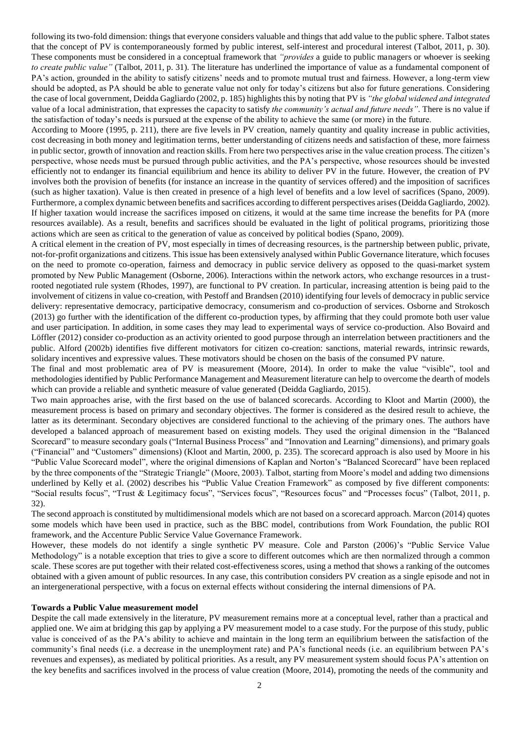following its two-fold dimension: things that everyone considers valuable and things that add value to the public sphere. Talbot states that the concept of PV is contemporaneously formed by public interest, self-interest and procedural interest (Talbot, 2011, p. 30). These components must be considered in a conceptual framework that *"provides* a guide to public managers or whoever is seeking *to create public value"* (Talbot, 2011, p. 31). The literature has underlined the importance of value as a fundamental component of PA's action, grounded in the ability to satisfy citizens' needs and to promote mutual trust and fairness. However, a long-term view should be adopted, as PA should be able to generate value not only for today's citizens but also for future generations. Considering the case of local government, Deidda Gagliardo (2002, p. 185) highlights this by noting that PV is *"the global widened and integrated*  value of a local administration, that expresses the capacity to satisfy *the community's actual and future needs"*. There is no value if the satisfaction of today's needs is pursued at the expense of the ability to achieve the same (or more) in the future.

According to Moore (1995, p. 211), there are five levels in PV creation, namely quantity and quality increase in public activities, cost decreasing in both money and legitimation terms, better understanding of citizens needs and satisfaction of these, more fairness in public sector, growth of innovation and reaction skills. From here two perspectives arise in the value creation process. The citizen's perspective, whose needs must be pursued through public activities, and the PA's perspective, whose resources should be invested efficiently not to endanger its financial equilibrium and hence its ability to deliver PV in the future. However, the creation of PV involves both the provision of benefits (for instance an increase in the quantity of services offered) and the imposition of sacrifices (such as higher taxation). Value is then created in presence of a high level of benefits and a low level of sacrifices (Spano, 2009). Furthermore, a complex dynamic between benefits and sacrifices according to different perspectives arises (Deidda Gagliardo, 2002). If higher taxation would increase the sacrifices imposed on citizens, it would at the same time increase the benefits for PA (more resources available). As a result, benefits and sacrifices should be evaluated in the light of political programs, prioritizing those actions which are seen as critical to the generation of value as conceived by political bodies (Spano, 2009).

A critical element in the creation of PV, most especially in times of decreasing resources, is the partnership between public, private, not-for-profit organizations and citizens. This issue has been extensively analysed within Public Governance literature, which focuses on the need to promote co-operation, fairness and democracy in public service delivery as opposed to the quasi-market system promoted by New Public Management (Osborne, 2006). Interactions within the network actors, who exchange resources in a trustrooted negotiated rule system (Rhodes, 1997), are functional to PV creation. In particular, increasing attention is being paid to the involvement of citizens in value co-creation, with Pestoff and Brandsen (2010) identifying four levels of democracy in public service delivery: representative democracy, participative democracy, consumerism and co-production of services. Osborne and Strokosch (2013) go further with the identification of the different co-production types, by affirming that they could promote both user value and user participation. In addition, in some cases they may lead to experimental ways of service co-production. Also Bovaird and Löffler (2012) consider co-production as an activity oriented to good purpose through an interrelation between practitioners and the public. Alford (2002b) identifies five different motivators for citizen co-creation: sanctions, material rewards, intrinsic rewards, solidary incentives and expressive values. These motivators should be chosen on the basis of the consumed PV nature.

The final and most problematic area of PV is measurement (Moore, 2014). In order to make the value "visible", tool and methodologies identified by Public Performance Management and Measurement literature can help to overcome the dearth of models which can provide a reliable and synthetic measure of value generated (Deidda Gagliardo, 2015).

Two main approaches arise, with the first based on the use of balanced scorecards. According to Kloot and Martin (2000), the measurement process is based on primary and secondary objectives. The former is considered as the desired result to achieve, the latter as its determinant. Secondary objectives are considered functional to the achieving of the primary ones. The authors have developed a balanced approach of measurement based on existing models. They used the original dimension in the "Balanced Scorecard" to measure secondary goals ("Internal Business Process" and "Innovation and Learning" dimensions), and primary goals ("Financial" and "Customers" dimensions) (Kloot and Martin, 2000, p. 235). The scorecard approach is also used by Moore in his "Public Value Scorecard model", where the original dimensions of Kaplan and Norton's "Balanced Scorecard" have been replaced by the three components of the "Strategic Triangle" (Moore, 2003). Talbot, starting from Moore's model and adding two dimensions underlined by Kelly et al. (2002) describes his "Public Value Creation Framework" as composed by five different components: "Social results focus", "Trust & Legitimacy focus", "Services focus", "Resources focus" and "Processes focus" (Talbot, 2011, p. 32).

The second approach is constituted by multidimensional models which are not based on a scorecard approach. Marcon (2014) quotes some models which have been used in practice, such as the BBC model, contributions from Work Foundation, the public ROI framework, and the Accenture Public Service Value Governance Framework.

However, these models do not identify a single synthetic PV measure. Cole and Parston (2006)'s "Public Service Value Methodology" is a notable exception that tries to give a score to different outcomes which are then normalized through a common scale. These scores are put together with their related cost-effectiveness scores, using a method that shows a ranking of the outcomes obtained with a given amount of public resources. In any case, this contribution considers PV creation as a single episode and not in an intergenerational perspective, with a focus on external effects without considering the internal dimensions of PA.

#### **Towards a Public Value measurement model**

Despite the call made extensively in the literature, PV measurement remains more at a conceptual level, rather than a practical and applied one. We aim at bridging this gap by applying a PV measurement model to a case study. For the purpose of this study, public value is conceived of as the PA's ability to achieve and maintain in the long term an equilibrium between the satisfaction of the community's final needs (i.e. a decrease in the unemployment rate) and PA's functional needs (i.e. an equilibrium between PA's revenues and expenses), as mediated by political priorities. As a result, any PV measurement system should focus PA's attention on the key benefits and sacrifices involved in the process of value creation (Moore, 2014), promoting the needs of the community and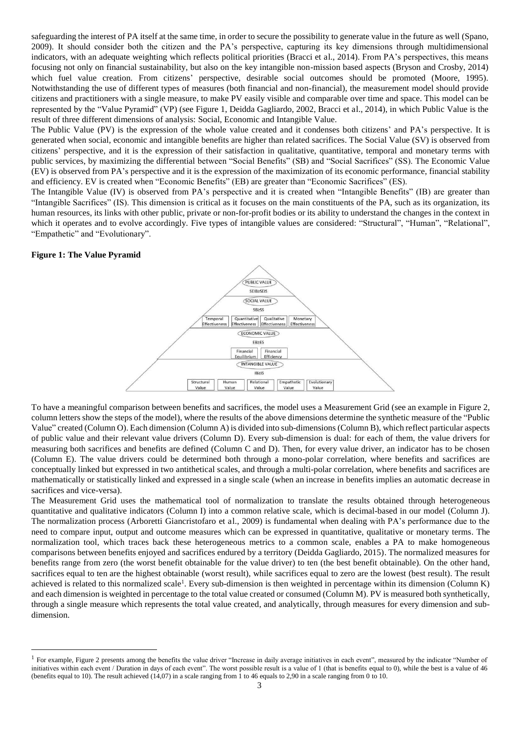safeguarding the interest of PA itself at the same time, in order to secure the possibility to generate value in the future as well (Spano, 2009). It should consider both the citizen and the PA's perspective, capturing its key dimensions through multidimensional indicators, with an adequate weighting which reflects political priorities (Bracci et al., 2014). From PA's perspectives, this means focusing not only on financial sustainability, but also on the key intangible non-mission based aspects (Bryson and Crosby, 2014) which fuel value creation. From citizens' perspective, desirable social outcomes should be promoted (Moore, 1995). Notwithstanding the use of different types of measures (both financial and non-financial), the measurement model should provide citizens and practitioners with a single measure, to make PV easily visible and comparable over time and space. This model can be represented by the "Value Pyramid" (VP) (see Figure 1, Deidda Gagliardo, 2002, Bracci et al., 2014), in which Public Value is the result of three different dimensions of analysis: Social, Economic and Intangible Value.

The Public Value (PV) is the expression of the whole value created and it condenses both citizens' and PA's perspective. It is generated when social, economic and intangible benefits are higher than related sacrifices. The Social Value (SV) is observed from citizens' perspective, and it is the expression of their satisfaction in qualitative, quantitative, temporal and monetary terms with public services, by maximizing the differential between "Social Benefits" (SB) and "Social Sacrifices" (SS). The Economic Value (EV) is observed from PA's perspective and it is the expression of the maximization of its economic performance, financial stability and efficiency. EV is created when "Economic Benefits" (EB) are greater than "Economic Sacrifices" (ES).

The Intangible Value (IV) is observed from PA's perspective and it is created when "Intangible Benefits" (IB) are greater than "Intangible Sacrifices" (IS). This dimension is critical as it focuses on the main constituents of the PA, such as its organization, its human resources, its links with other public, private or non-for-profit bodies or its ability to understand the changes in the context in which it operates and to evolve accordingly. Five types of intangible values are considered: "Structural", "Human", "Relational", "Empathetic" and "Evolutionary".

#### **Figure 1: The Value Pyramid**

 $\overline{a}$ 



To have a meaningful comparison between benefits and sacrifices, the model uses a Measurement Grid (see an example in Figure 2, column letters show the steps of the model), where the results of the above dimensions determine the synthetic measure of the "Public Value" created (Column O). Each dimension (Column A) is divided into sub-dimensions (Column B), which reflect particular aspects of public value and their relevant value drivers (Column D). Every sub-dimension is dual: for each of them, the value drivers for measuring both sacrifices and benefits are defined (Column C and D). Then, for every value driver, an indicator has to be chosen (Column E). The value drivers could be determined both through a mono-polar correlation, where benefits and sacrifices are conceptually linked but expressed in two antithetical scales, and through a multi-polar correlation, where benefits and sacrifices are mathematically or statistically linked and expressed in a single scale (when an increase in benefits implies an automatic decrease in sacrifices and vice-versa).

The Measurement Grid uses the mathematical tool of normalization to translate the results obtained through heterogeneous quantitative and qualitative indicators (Column I) into a common relative scale, which is decimal-based in our model (Column J). The normalization process (Arboretti Giancristofaro et al., 2009) is fundamental when dealing with PA's performance due to the need to compare input, output and outcome measures which can be expressed in quantitative, qualitative or monetary terms. The normalization tool, which traces back these heterogeneous metrics to a common scale, enables a PA to make homogeneous comparisons between benefits enjoyed and sacrifices endured by a territory (Deidda Gagliardo, 2015). The normalized measures for benefits range from zero (the worst benefit obtainable for the value driver) to ten (the best benefit obtainable). On the other hand, sacrifices equal to ten are the highest obtainable (worst result), while sacrifices equal to zero are the lowest (best result). The result achieved is related to this normalized scale<sup>1</sup>. Every sub-dimension is then weighted in percentage within its dimension (Column K) and each dimension is weighted in percentage to the total value created or consumed (Column M). PV is measured both synthetically, through a single measure which represents the total value created, and analytically, through measures for every dimension and subdimension.

<sup>&</sup>lt;sup>1</sup> For example, Figure 2 presents among the benefits the value driver "Increase in daily average initiatives in each event", measured by the indicator "Number of initiatives within each event / Duration in days of each event". The worst possible result is a value of 1 (that is benefits equal to 0), while the best is a value of 46 (benefits equal to 10). The result achieved (14,07) in a scale ranging from 1 to 46 equals to 2,90 in a scale ranging from 0 to 10.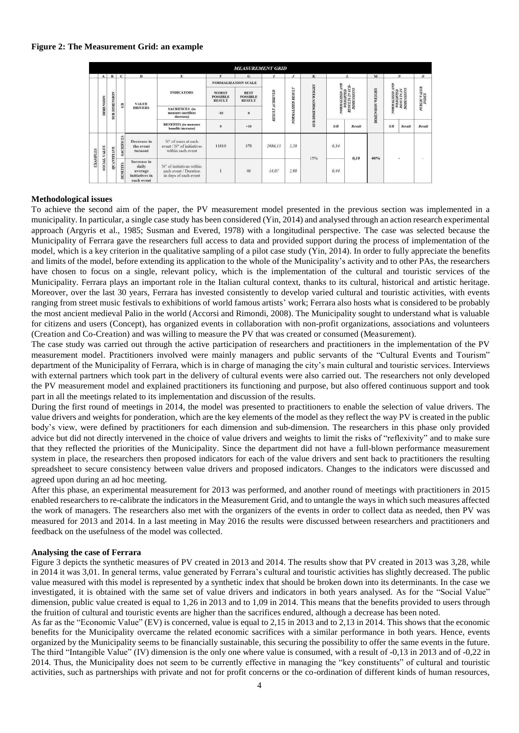#### **Figure 2: The Measurement Grid: an example**

|                 | <b>MEASUREMENT GRID</b> |                    |                  |                                                                 |                                                                            |                                                  |                                                 |                        |                                 |                                                      |                                                                                     |        |                         |                                                                     |        |                                                     |
|-----------------|-------------------------|--------------------|------------------|-----------------------------------------------------------------|----------------------------------------------------------------------------|--------------------------------------------------|-------------------------------------------------|------------------------|---------------------------------|------------------------------------------------------|-------------------------------------------------------------------------------------|--------|-------------------------|---------------------------------------------------------------------|--------|-----------------------------------------------------|
|                 | $\mathbf{A}$            | $\mathbf{B}$       | $\mathbf{C}$     | D                                                               | E.                                                                         | $\mathbf{F}$                                     | G                                               | $\boldsymbol{I}$       | $\boldsymbol{J}$                | $\mathbf{K}$                                         |                                                                                     | L      | M                       |                                                                     | N      | $\boldsymbol{o}$                                    |
|                 |                         |                    |                  |                                                                 |                                                                            | <b>NORMALIZATION SCALE</b>                       |                                                 |                        |                                 |                                                      |                                                                                     |        |                         |                                                                     |        |                                                     |
|                 |                         | <b>NOISY</b>       | S/B              | <b>VALUE</b><br><b>DRIVERS</b>                                  | <b>INDICATORS</b>                                                          | <b>WORST</b><br><b>POSSIBLE</b><br><b>RESULT</b> | <b>BEST</b><br><b>POSSIBLE</b><br><b>RESULT</b> | <b>RESULT ACHIEVED</b> | RESULT<br>ZED.<br><b>NORMAL</b> | <b>WEIGHT</b><br><b>NSION</b><br>DIMIE<br><b>SUB</b> | <b>TV</b><br><b>RESULTS IN SUB-</b><br>DIMENSIONS<br><b>ASSIMATED A</b><br>WEIGHTED |        | <b>DIMENSION WEIGHT</b> | <b>CVF</b><br>NORMALIZED AN<br>WEIGHTED<br>RESULTS IN<br>DIMENSIONS |        | $\frac{P(\text{BLIC}\mid \text{ALUE}}{\text{IDEX}}$ |
|                 | <b>DIMENSION</b>        | <b>SUB-DIME</b>    |                  |                                                                 | <b>SACRIFICES</b> (to<br>measure sacrifices<br>decrease)                   | $-10$                                            | $\theta$                                        |                        |                                 |                                                      |                                                                                     |        |                         |                                                                     |        |                                                     |
|                 |                         |                    |                  |                                                                 | <b>BENEFITS</b> (to measure<br>benefits increase)                          | $\theta$                                         | $+10$                                           |                        |                                 |                                                      | S/B                                                                                 | Result |                         | S/B                                                                 | Result | Result                                              |
| <b>EXAMPLES</b> | VALUE<br>SOCIAL         | NITIAVE<br>¥<br>B. | <b>ACRIFICES</b> | Decrease in<br>the event<br>turnout                             | N° of users at each<br>event / N° of initiatives<br>within each event.     | 11810                                            | 378                                             | 2986.15                | 2,28                            | 15%                                                  | 0.34                                                                                | 0,10   | 40%                     | $\overline{\phantom{a}}$                                            |        | ×.                                                  |
|                 |                         |                    | NEFITS<br>兕      | Increase in<br>daily<br>average<br>initiatives in<br>each event | N° of initiatives within<br>each event / Duration<br>in days of each event |                                                  | 46                                              | 14,07                  | 2,90                            |                                                      | 0,44                                                                                |        |                         |                                                                     |        |                                                     |

#### **Methodological issues**

To achieve the second aim of the paper, the PV measurement model presented in the previous section was implemented in a municipality. In particular, a single case study has been considered (Yin, 2014) and analysed through an action research experimental approach (Argyris et al., 1985; Susman and Evered, 1978) with a longitudinal perspective. The case was selected because the Municipality of Ferrara gave the researchers full access to data and provided support during the process of implementation of the model, which is a key criterion in the qualitative sampling of a pilot case study (Yin, 2014). In order to fully appreciate the benefits and limits of the model, before extending its application to the whole of the Municipality's activity and to other PAs, the researchers have chosen to focus on a single, relevant policy, which is the implementation of the cultural and touristic services of the Municipality. Ferrara plays an important role in the Italian cultural context, thanks to its cultural, historical and artistic heritage. Moreover, over the last 30 years, Ferrara has invested consistently to develop varied cultural and touristic activities, with events ranging from street music festivals to exhibitions of world famous artists' work; Ferrara also hosts what is considered to be probably the most ancient medieval Palio in the world (Accorsi and Rimondi, 2008). The Municipality sought to understand what is valuable for citizens and users (Concept), has organized events in collaboration with non-profit organizations, associations and volunteers (Creation and Co-Creation) and was willing to measure the PV that was created or consumed (Measurement).

The case study was carried out through the active participation of researchers and practitioners in the implementation of the PV measurement model. Practitioners involved were mainly managers and public servants of the "Cultural Events and Tourism" department of the Municipality of Ferrara, which is in charge of managing the city's main cultural and touristic services. Interviews with external partners which took part in the delivery of cultural events were also carried out. The researchers not only developed the PV measurement model and explained practitioners its functioning and purpose, but also offered continuous support and took part in all the meetings related to its implementation and discussion of the results.

During the first round of meetings in 2014, the model was presented to practitioners to enable the selection of value drivers. The value drivers and weights for ponderation, which are the key elements of the model as they reflect the way PV is created in the public body's view, were defined by practitioners for each dimension and sub-dimension. The researchers in this phase only provided advice but did not directly intervened in the choice of value drivers and weights to limit the risks of "reflexivity" and to make sure that they reflected the priorities of the Municipality. Since the department did not have a full-blown performance measurement system in place, the researchers then proposed indicators for each of the value drivers and sent back to practitioners the resulting spreadsheet to secure consistency between value drivers and proposed indicators. Changes to the indicators were discussed and agreed upon during an ad hoc meeting.

After this phase, an experimental measurement for 2013 was performed, and another round of meetings with practitioners in 2015 enabled researchers to re-calibrate the indicators in the Measurement Grid, and to untangle the ways in which such measures affected the work of managers. The researchers also met with the organizers of the events in order to collect data as needed, then PV was measured for 2013 and 2014. In a last meeting in May 2016 the results were discussed between researchers and practitioners and feedback on the usefulness of the model was collected.

#### **Analysing the case of Ferrara**

Figure 3 depicts the synthetic measures of PV created in 2013 and 2014. The results show that PV created in 2013 was 3,28, while in 2014 it was 3,01. In general terms, value generated by Ferrara's cultural and touristic activities has slightly decreased. The public value measured with this model is represented by a synthetic index that should be broken down into its determinants. In the case we investigated, it is obtained with the same set of value drivers and indicators in both years analysed. As for the "Social Value" dimension, public value created is equal to 1,26 in 2013 and to 1,09 in 2014. This means that the benefits provided to users through the fruition of cultural and touristic events are higher than the sacrifices endured, although a decrease has been noted.

As far as the "Economic Value" (EV) is concerned, value is equal to 2,15 in 2013 and to 2,13 in 2014. This shows that the economic benefits for the Municipality overcame the related economic sacrifices with a similar performance in both years. Hence, events organized by the Municipality seems to be financially sustainable, this securing the possibility to offer the same events in the future. The third "Intangible Value" (IV) dimension is the only one where value is consumed, with a result of -0,13 in 2013 and of -0,22 in 2014. Thus, the Municipality does not seem to be currently effective in managing the "key constituents" of cultural and touristic activities, such as partnerships with private and not for profit concerns or the co-ordination of different kinds of human resources,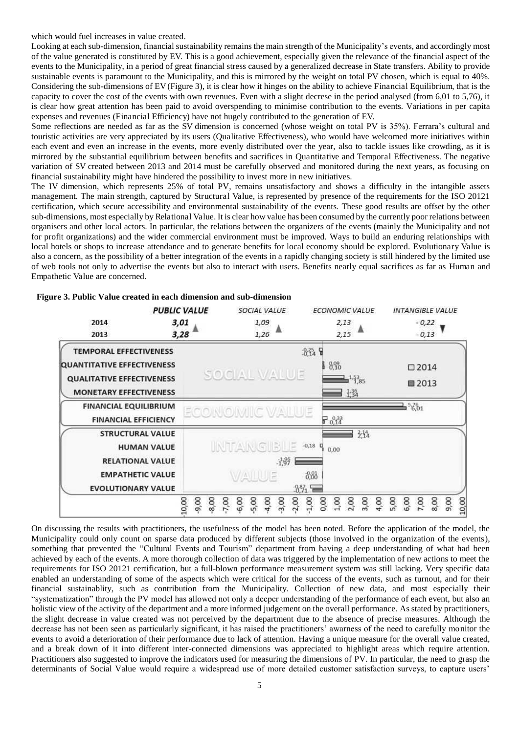which would fuel increases in value created.

Looking at each sub-dimension, financial sustainability remains the main strength of the Municipality's events, and accordingly most of the value generated is constituted by EV. This is a good achievement, especially given the relevance of the financial aspect of the events to the Municipality, in a period of great financial stress caused by a generalized decrease in State transfers. Ability to provide sustainable events is paramount to the Municipality, and this is mirrored by the weight on total PV chosen, which is equal to 40%. Considering the sub-dimensions of EV (Figure 3), it is clear how it hinges on the ability to achieve Financial Equilibrium, that is the capacity to cover the cost of the events with own revenues. Even with a slight decrese in the period analysed (from 6,01 to 5,76), it is clear how great attention has been paid to avoid overspending to minimise contribution to the events. Variations in per capita expenses and revenues (Financial Efficiency) have not hugely contributed to the generation of EV.

Some reflections are needed as far as the SV dimension is concerned (whose weight on total PV is 35%). Ferrara's cultural and touristic activities are very appreciated by its users (Qualitative Effectiveness), who would have welcomed more initiatives within each event and even an increase in the events, more evenly distributed over the year, also to tackle issues like crowding, as it is mirrored by the substantial equilibrium between benefits and sacrifices in Quantitative and Temporal Effectiveness. The negative variation of SV created between 2013 and 2014 must be carefully observed and monitored during the next years, as focusing on financial sustainability might have hindered the possibility to invest more in new initiatives.

The IV dimension, which represents 25% of total PV, remains unsatisfactory and shows a difficulty in the intangible assets management. The main strength, captured by Structural Value, is represented by presence of the requirements for the ISO 20121 certification, which secure accessibility and environmental sustainability of the events. These good results are offset by the other sub-dimensions, most especially by Relational Value. It is clear how value has been consumed by the currently poor relations between organisers and other local actors. In particular, the relations between the organizers of the events (mainly the Municipality and not for profit organizations) and the wider commercial environment must be improved. Ways to build an enduring relationships with local hotels or shops to increase attendance and to generate benefits for local economy should be explored. Evolutionary Value is also a concern, as the possibility of a better integration of the events in a rapidly changing society is still hindered by the limited use of web tools not only to advertise the events but also to interact with users. Benefits nearly equal sacrifices as far as Human and Empathetic Value are concerned.

|                                                                                                                                       | <b>PUBLIC VALUE</b>         | SOCIAL VALUE                                                | <b>ECONOMIC VALUE</b>                                           | <b>INTANGIBLE VALUE</b>                       |
|---------------------------------------------------------------------------------------------------------------------------------------|-----------------------------|-------------------------------------------------------------|-----------------------------------------------------------------|-----------------------------------------------|
| 2014<br>2013                                                                                                                          | 3,01<br>3,28                | 1,09<br>1,26                                                | 2,13<br>2,15                                                    | $-0,22$<br>$-0,13$                            |
| V<br><b>TEMPORAL EFFECTIVENESS</b><br>QUANTITATIVE EFFECTIVENESS<br><b>QUALITATIVE EFFECTIVENESS</b><br><b>MONETARY EFFECTIVENESS</b> |                             | <b>SOCIAL MALUE</b>                                         | 334日<br>1 8%<br>$\triangleq$ <sup>1,53</sup> 85<br>找            | $\Box 2014$<br>■2013                          |
| <b>FINANCIAL EQUILIBRIUM</b><br><b>FINANCIAL EFFICIENCY</b>                                                                           |                             | <b>ECONOMIC</b><br>WALUE                                    | $\Gamma_{0,14}^{0,33}$                                          | 5261                                          |
| <b>STRUCTURAL VALUE</b><br><b>HUMAN VALUE</b><br><b>RELATIONAL VALUE</b>                                                              |                             | NTANG BLE<br>书学                                             | 3.14<br>$-0,18$<br>0,00                                         |                                               |
| <b>EMPATHETIC VALUE</b><br><b>EVOLUTIONARY VALUE</b>                                                                                  | $-9,00$<br>$-8,00$<br>10,00 | 4,00<br>$-7,00$<br>$-6,00$<br>$-5,00$<br>$-3,00$<br>$-2,00$ | 880<br>$3\%$<br>2,00<br>1,00<br>3,00<br>4,00<br>$-1,00$<br>0,00 | 8,00<br>9,00<br>10,00<br>6,00<br>7,00<br>5,00 |

**Figure 3. Public Value created in each dimension and sub-dimension** 

On discussing the results with practitioners, the usefulness of the model has been noted. Before the application of the model, the Municipality could only count on sparse data produced by different subjects (those involved in the organization of the events), something that prevented the "Cultural Events and Tourism" department from having a deep understanding of what had been achieved by each of the events. A more thorough collection of data was triggered by the implementation of new actions to meet the requirements for ISO 20121 certification, but a full-blown performance measurement system was still lacking. Very specific data enabled an understanding of some of the aspects which were critical for the success of the events, such as turnout, and for their financial sustainablity, such as contribution from the Municipality. Collection of new data, and most especially their "systematization" through the PV model has allowed not only a deeper understanding of the performance of each event, but also an holistic view of the activity of the department and a more informed judgement on the overall performance. As stated by practitioners, the slight decrease in value created was not perceived by the department due to the absence of precise measures. Although the decrease has not been seen as particularly significant, it has raised the practitioners' awarness of the need to carefully monitor the events to avoid a deterioration of their performance due to lack of attention. Having a unique measure for the overall value created, and a break down of it into different inter-connected dimensions was appreciated to highlight areas which require attention. Practitioners also suggested to improve the indicators used for measuring the dimensions of PV. In particular, the need to grasp the determinants of Social Value would require a widespread use of more detailed customer satisfaction surveys, to capture users'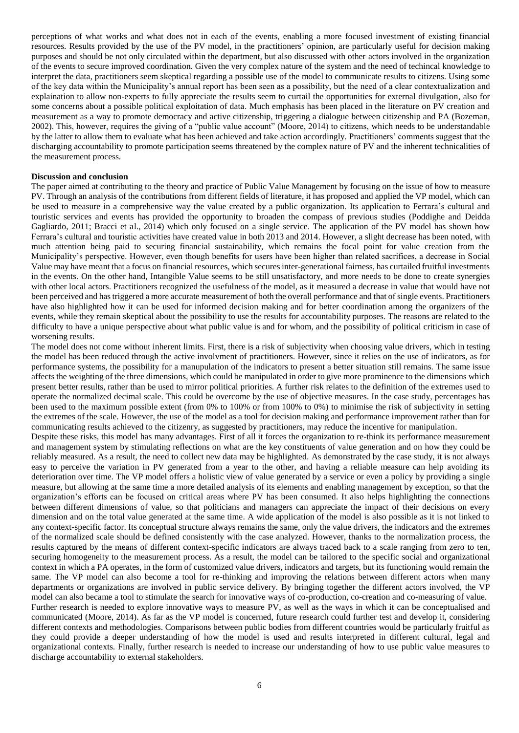perceptions of what works and what does not in each of the events, enabling a more focused investment of existing financial resources. Results provided by the use of the PV model, in the practitioners' opinion, are particularly useful for decision making purposes and should be not only circulated within the department, but also discussed with other actors involved in the organization of the events to secure improved coordination. Given the very complex nature of the system and the need of techincal knowledge to interpret the data, practitioners seem skeptical regarding a possible use of the model to communicate results to citizens. Using some of the key data within the Municipality's annual report has been seen as a possibility, but the need of a clear contextualization and explaination to allow non-experts to fully appreciate the results seem to curtail the opportunities for external divulgation, also for some concerns about a possible political exploitation of data. Much emphasis has been placed in the literature on PV creation and measurement as a way to promote democracy and active citizenship, triggering a dialogue between citizenship and PA (Bozeman, 2002). This, however, requires the giving of a "public value account" (Moore, 2014) to citizens, which needs to be understandable by the latter to allow them to evaluate what has been achieved and take action accordingly. Practitioners' comments suggest that the discharging accountability to promote participation seems threatened by the complex nature of PV and the inherent technicalities of the measurement process.

#### **Discussion and conclusion**

The paper aimed at contributing to the theory and practice of Public Value Management by focusing on the issue of how to measure PV. Through an analysis of the contributions from different fields of literature, it has proposed and applied the VP model, which can be used to measure in a comprehensive way the value created by a public organization. Its application to Ferrara's cultural and touristic services and events has provided the opportunity to broaden the compass of previous studies (Poddighe and Deidda Gagliardo, 2011; Bracci et al., 2014) which only focused on a single service. The application of the PV model has shown how Ferrara's cultural and touristic activities have created value in both 2013 and 2014. However, a slight decrease has been noted, with much attention being paid to securing financial sustainability, which remains the focal point for value creation from the Municipality's perspective. However, even though benefits for users have been higher than related sacrifices, a decrease in Social Value may have meant that a focus on financial resources, which secures inter-generational fairness, has curtailed fruitful investments in the events. On the other hand, Intangible Value seems to be still unsatisfactory, and more needs to be done to create synergies with other local actors. Practitioners recognized the usefulness of the model, as it measured a decrease in value that would have not been perceived and has triggered a more accurate measurement of both the overall performance and that of single events. Practitioners have also highlighted how it can be used for informed decision making and for better coordination among the organizers of the events, while they remain skeptical about the possibility to use the results for accountability purposes. The reasons are related to the difficulty to have a unique perspective about what public value is and for whom, and the possibility of political criticism in case of worsening results.

The model does not come without inherent limits. First, there is a risk of subjectivity when choosing value drivers, which in testing the model has been reduced through the active involvment of practitioners. However, since it relies on the use of indicators, as for performance systems, the possibility for a manupulation of the indicators to present a better situation still remains. The same issue affects the weighting of the three dimensions, which could be manipulated in order to give more prominence to the dimensions which present better results, rather than be used to mirror political priorities. A further risk relates to the definition of the extremes used to operate the normalized decimal scale. This could be overcome by the use of objective measures. In the case study, percentages has been used to the maximum possible extent (from 0% to 100% or from 100% to 0%) to minimise the risk of subjectivity in setting the extremes of the scale. However, the use of the model as a tool for decision making and performance improvement rather than for communicating results achieved to the citizenry, as suggested by practitioners, may reduce the incentive for manipulation.

Despite these risks, this model has many advantages. First of all it forces the organization to re-think its performance measurement and management system by stimulating reflections on what are the key constituents of value generation and on how they could be reliably measured. As a result, the need to collect new data may be highlighted. As demonstrated by the case study, it is not always easy to perceive the variation in PV generated from a year to the other, and having a reliable measure can help avoiding its deterioration over time. The VP model offers a holistic view of value generated by a service or even a policy by providing a single measure, but allowing at the same time a more detailed analysis of its elements and enabling management by exception, so that the organization's efforts can be focused on critical areas where PV has been consumed. It also helps highlighting the connections between different dimensions of value, so that politicians and managers can appreciate the impact of their decisions on every dimension and on the total value generated at the same time. A wide application of the model is also possible as it is not linked to any context-specific factor. Its conceptual structure always remains the same, only the value drivers, the indicators and the extremes of the normalized scale should be defined consistently with the case analyzed. However, thanks to the normalization process, the results captured by the means of different context-specific indicators are always traced back to a scale ranging from zero to ten, securing homogeneity to the measurement process. As a result, the model can be tailored to the specific social and organizational context in which a PA operates, in the form of customized value drivers, indicators and targets, but its functioning would remain the same. The VP model can also become a tool for re-thinking and improving the relations between different actors when many departments or organizations are involved in public service delivery. By bringing together the different actors involved, the VP model can also became a tool to stimulate the search for innovative ways of co-production, co-creation and co-measuring of value.

Further research is needed to explore innovative ways to measure PV, as well as the ways in which it can be conceptualised and communicated (Moore, 2014). As far as the VP model is concerned, future research could further test and develop it, considering different contexts and methodologies. Comparisons between public bodies from different countries would be particularly fruitful as they could provide a deeper understanding of how the model is used and results interpreted in different cultural, legal and organizational contexts. Finally, further research is needed to increase our understanding of how to use public value measures to discharge accountability to external stakeholders.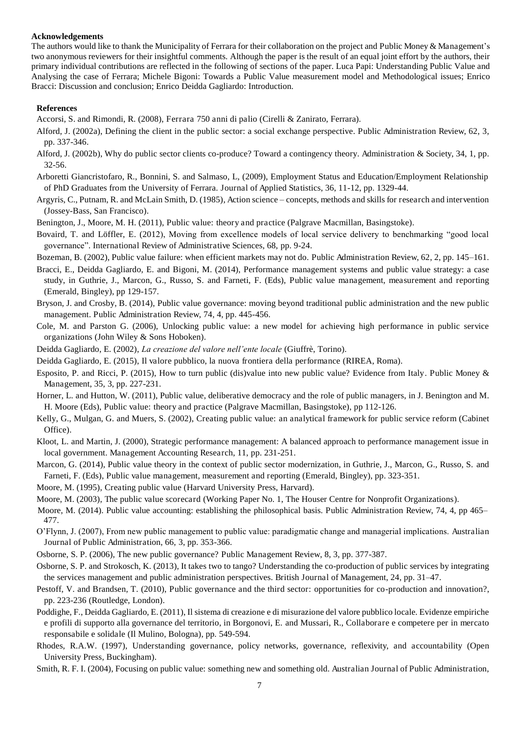#### **Acknowledgements**

The authors would like to thank the Municipality of Ferrara for their collaboration on the project and Public Money & Management's two anonymous reviewers for their insightful comments. Although the paper is the result of an equal joint effort by the authors, their primary individual contributions are reflected in the following of sections of the paper. Luca Papi: Understanding Public Value and Analysing the case of Ferrara; Michele Bigoni: Towards a Public Value measurement model and Methodological issues; Enrico Bracci: Discussion and conclusion; Enrico Deidda Gagliardo: Introduction.

#### **References**

Accorsi, S. and Rimondi, R. (2008), Ferrara 750 anni di palio (Cirelli & Zanirato, Ferrara).

- Alford, J. (2002a), Defining the client in the public sector: a social exchange perspective. Public Administration Review, 62, 3, pp. 337-346.
- Alford, J. (2002b), Why do public sector clients co-produce? Toward a contingency theory. Administration & Society, 34, 1, pp. 32-56.
- Arboretti Giancristofaro, R., Bonnini, S. and Salmaso, L, (2009), Employment Status and Education/Employment Relationship of PhD Graduates from the University of Ferrara. Journal of Applied Statistics, 36, 11-12, pp. 1329-44.
- Argyris, C., Putnam, R. and McLain Smith, D. (1985), Action science *–* concepts, methods and skills for research and intervention (Jossey-Bass, San Francisco).
- Benington, J., Moore, M. H. (2011), Public value: theory and practice (Palgrave Macmillan, Basingstoke).
- Bovaird, T. and Löffler, E. (2012), Moving from excellence models of local service delivery to benchmarking "good local governance". International Review of Administrative Sciences, 68, pp. 9-24.
- Bozeman, B. (2002), Public value failure: when efficient markets may not do. Public Administration Review, 62, 2, pp. 145–161.
- Bracci, E., Deidda Gagliardo, E. and Bigoni, M. (2014), Performance management systems and public value strategy: a case study, in Guthrie, J., Marcon, G., Russo, S. and Farneti, F. (Eds), Public value management, measurement and reporting (Emerald, Bingley), pp 129-157.
- Bryson, J. and Crosby, B. (2014), Public value governance: moving beyond traditional public administration and the new public management. Public Administration Review, 74, 4, pp. 445-456.
- Cole, M. and Parston G. (2006), Unlocking public value: a new model for achieving high performance in public service organizations (John Wiley & Sons Hoboken).
- Deidda Gagliardo, E. (2002), *La creazione del valore nell'ente locale* (Giuffrè, Torino).
- Deidda Gagliardo, E. (2015), Il valore pubblico, la nuova frontiera della performance (RIREA, Roma).
- Esposito, P. and Ricci, P. (2015), How to turn public (dis)value into new public value? Evidence from Italy. Public Money & Management, 35, 3, pp. 227-231.
- Horner, L. and Hutton, W. (2011), Public value, deliberative democracy and the role of public managers, in J. Benington and M. H. Moore (Eds), Public value: theory and practice (Palgrave Macmillan, Basingstoke), pp 112-126.
- Kelly, G., Mulgan, G. and Muers, S. (2002), Creating public value: an analytical framework for public service reform (Cabinet Office).
- Kloot, L. and Martin, J. (2000), Strategic performance management: A balanced approach to performance management issue in local government. Management Accounting Research, 11, pp. 231-251.
- Marcon, G. (2014), Public value theory in the context of public sector modernization, in Guthrie, J., Marcon, G., Russo, S. and Farneti, F. (Eds), Public value management, measurement and reporting (Emerald, Bingley), pp. 323-351.
- Moore, M. (1995), Creating public value (Harvard University Press, Harvard).
- Moore, M. (2003), The public value scorecard (Working Paper No. 1, The Houser Centre for Nonprofit Organizations).
- Moore, M. (2014). Public value accounting: establishing the philosophical basis. Public Administration Review, 74, 4, pp 465– 477.
- O'Flynn, J. (2007), From new public management to public value: paradigmatic change and managerial implications. Australian Journal of Public Administration, 66, 3, pp. 353-366.
- Osborne, S. P. (2006), The new public governance? Public Management Review, 8, 3, pp. 377-387.
- Osborne, S. P. and Strokosch, K. (2013), It takes two to tango? Understanding the co-production of public services by integrating the services management and public administration perspectives. British Journal of Management, 24, pp. 31–47.
- Pestoff, V. and Brandsen, T. (2010), Public governance and the third sector: opportunities for co-production and innovation?, pp. 223-236 (Routledge, London).
- Poddighe, F., Deidda Gagliardo, E. (2011), Il sistema di creazione e di misurazione del valore pubblico locale. Evidenze empiriche e profili di supporto alla governance del territorio, in Borgonovi, E. and Mussari, R., Collaborare e competere per in mercato responsabile e solidale (Il Mulino, Bologna), pp. 549-594.
- Rhodes, R.A.W. (1997), Understanding governance, policy networks, governance, reflexivity, and accountability (Open University Press, Buckingham).
- Smith, R. F. I. (2004), Focusing on public value: something new and something old. Australian Journal of Public Administration,